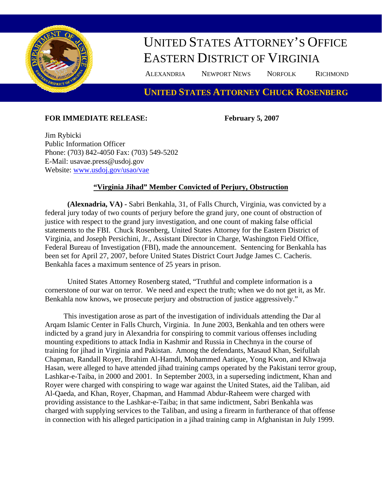

## UNITED STATES ATTORNEY'S OFFICE EASTERN DISTRICT OF VIRGINIA

ALEXANDRIA NEWPORT NEWS NORFOLK RICHMOND

## **UNITED STATES ATTORNEY CHUCK ROSENBERG**

## **FOR IMMEDIATE RELEASE: February 5, 2007**

Jim Rybicki Public Information Officer Phone: (703) 842-4050 Fax: (703) 549-5202 E-Mail: usavae.press@usdoj.gov Website: [www.usdoj.gov/usao/vae](http://www.usdoj.gov/usao/vae) 

## **"Virginia Jihad" Member Convicted of Perjury, Obstruction**

**(Alexnadria, VA) -** Sabri Benkahla, 31, of Falls Church, Virginia, was convicted by a federal jury today of two counts of perjury before the grand jury, one count of obstruction of justice with respect to the grand jury investigation, and one count of making false official statements to the FBI. Chuck Rosenberg, United States Attorney for the Eastern District of Virginia, and Joseph Persichini, Jr., Assistant Director in Charge, Washington Field Office, Federal Bureau of Investigation (FBI), made the announcement. Sentencing for Benkahla has been set for April 27, 2007, before United States District Court Judge James C. Cacheris. Benkahla faces a maximum sentence of 25 years in prison.

United States Attorney Rosenberg stated, "Truthful and complete information is a cornerstone of our war on terror. We need and expect the truth; when we do not get it, as Mr. Benkahla now knows, we prosecute perjury and obstruction of justice aggressively."

 This investigation arose as part of the investigation of individuals attending the Dar al Arqam Islamic Center in Falls Church, Virginia. In June 2003, Benkahla and ten others were indicted by a grand jury in Alexandria for conspiring to commit various offenses including mounting expeditions to attack India in Kashmir and Russia in Chechnya in the course of training for jihad in Virginia and Pakistan. Among the defendants, Masaud Khan, Seifullah Chapman, Randall Royer, Ibrahim Al-Hamdi, Mohammed Aatique, Yong Kwon, and Khwaja Hasan, were alleged to have attended jihad training camps operated by the Pakistani terror group, Lashkar-e-Taiba, in 2000 and 2001. In September 2003, in a superseding indictment, Khan and Royer were charged with conspiring to wage war against the United States, aid the Taliban, aid Al-Qaeda, and Khan, Royer, Chapman, and Hammad Abdur-Raheem were charged with providing assistance to the Lashkar-e-Taiba; in that same indictment, Sabri Benkahla was charged with supplying services to the Taliban, and using a firearm in furtherance of that offense in connection with his alleged participation in a jihad training camp in Afghanistan in July 1999.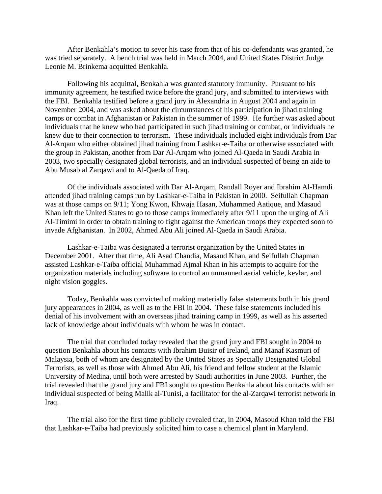After Benkahla's motion to sever his case from that of his co-defendants was granted, he was tried separately. A bench trial was held in March 2004, and United States District Judge Leonie M. Brinkema acquitted Benkahla.

Following his acquittal, Benkahla was granted statutory immunity. Pursuant to his immunity agreement, he testified twice before the grand jury, and submitted to interviews with the FBI. Benkahla testified before a grand jury in Alexandria in August 2004 and again in November 2004, and was asked about the circumstances of his participation in jihad training camps or combat in Afghanistan or Pakistan in the summer of 1999. He further was asked about individuals that he knew who had participated in such jihad training or combat, or individuals he knew due to their connection to terrorism. These individuals included eight individuals from Dar Al-Arqam who either obtained jihad training from Lashkar-e-Taiba or otherwise associated with the group in Pakistan, another from Dar Al-Arqam who joined Al-Qaeda in Saudi Arabia in 2003, two specially designated global terrorists, and an individual suspected of being an aide to Abu Musab al Zarqawi and to Al-Qaeda of Iraq.

Of the individuals associated with Dar Al-Arqam, Randall Royer and Ibrahim Al-Hamdi attended jihad training camps run by Lashkar-e-Taiba in Pakistan in 2000. Seifullah Chapman was at those camps on 9/11; Yong Kwon, Khwaja Hasan, Muhammed Aatique, and Masaud Khan left the United States to go to those camps immediately after 9/11 upon the urging of Ali Al-Timimi in order to obtain training to fight against the American troops they expected soon to invade Afghanistan. In 2002, Ahmed Abu Ali joined Al-Qaeda in Saudi Arabia.

Lashkar-e-Taiba was designated a terrorist organization by the United States in December 2001. After that time, Ali Asad Chandia, Masaud Khan, and Seifullah Chapman assisted Lashkar-e-Taiba official Muhammad Ajmal Khan in his attempts to acquire for the organization materials including software to control an unmanned aerial vehicle, kevlar, and night vision goggles.

Today, Benkahla was convicted of making materially false statements both in his grand jury appearances in 2004, as well as to the FBI in 2004. These false statements included his denial of his involvement with an overseas jihad training camp in 1999, as well as his asserted lack of knowledge about individuals with whom he was in contact.

The trial that concluded today revealed that the grand jury and FBI sought in 2004 to question Benkahla about his contacts with Ibrahim Buisir of Ireland, and Manaf Kasmuri of Malaysia, both of whom are designated by the United States as Specially Designated Global Terrorists, as well as those with Ahmed Abu Ali, his friend and fellow student at the Islamic University of Medina, until both were arrested by Saudi authorities in June 2003. Further, the trial revealed that the grand jury and FBI sought to question Benkahla about his contacts with an individual suspected of being Malik al-Tunisi, a facilitator for the al-Zarqawi terrorist network in Iraq.

The trial also for the first time publicly revealed that, in 2004, Masoud Khan told the FBI that Lashkar-e-Taiba had previously solicited him to case a chemical plant in Maryland.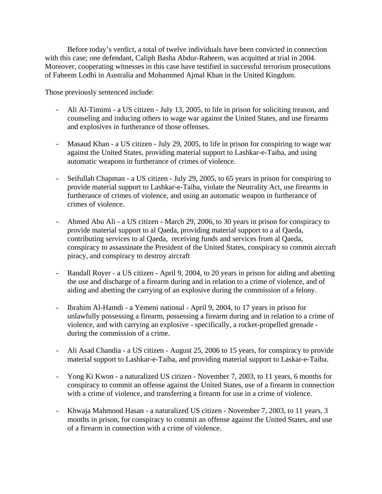Before today's verdict, a total of twelve individuals have been convicted in connection with this case; one defendant, Caliph Basha Abdur-Raheem, was acquitted at trial in 2004. Moreover, cooperating witnesses in this case have testified in successful terrorism prosecutions of Faheem Lodhi in Australia and Mohammed Ajmal Khan in the United Kingdom.

Those previously sentenced include:

- Ali Al-Timimi a US citizen July 13, 2005, to life in prison for soliciting treason, and counseling and inducing others to wage war against the United States, and use firearms and explosives in furtherance of those offenses.
- Masaud Khan a US citizen July 29, 2005, to life in prison for conspiring to wage war against the United States, providing material support to Lashkar-e-Taiba, and using automatic weapons in furtherance of crimes of violence.
- Seifullah Chapman a US citizen July 29, 2005, to 65 years in prison for conspiring to provide material support to Lashkar-e-Taiba, violate the Neutrality Act, use firearms in furtherance of crimes of violence, and using an automatic weapon in furtherance of crimes of violence.
- Ahmed Abu Ali a US citizen March 29, 2006, to 30 years in prison for conspiracy to provide material support to al Qaeda, providing material support to a al Qaeda, contributing services to al Qaeda, receiving funds and services from al Qaeda, conspiracy to assassinate the President of the United States, conspiracy to commit aircraft piracy, and conspiracy to destroy aircraft
- Randall Royer a US citizen April 9, 2004, to 20 years in prison for aiding and abetting the use and discharge of a firearm during and in relation to a crime of violence, and of aiding and abetting the carrying of an explosive during the commission of a felony.
- Ibrahim Al-Hamdi a Yemeni national April 9, 2004, to 17 years in prison for unlawfully possessing a firearm, possessing a firearm during and in relation to a crime of violence, and with carrying an explosive - specifically, a rocket-propelled grenade during the commission of a crime.
- Ali Asad Chandia a US citizen August 25, 2006 to 15 years, for conspiracy to provide material support to Lashkar-e-Taiba, and providing material support to Laskar-e-Taiba.
- Yong Ki Kwon a naturalized US citizen November 7, 2003, to 11 years, 6 months for conspiracy to commit an offense against the United States, use of a firearm in connection with a crime of violence, and transferring a firearm for use in a crime of violence.
- Khwaja Mahmood Hasan a naturalized US citizen November 7, 2003, to 11 years, 3 months in prison, for conspiracy to commit an offense against the United States, and use of a firearm in connection with a crime of violence.